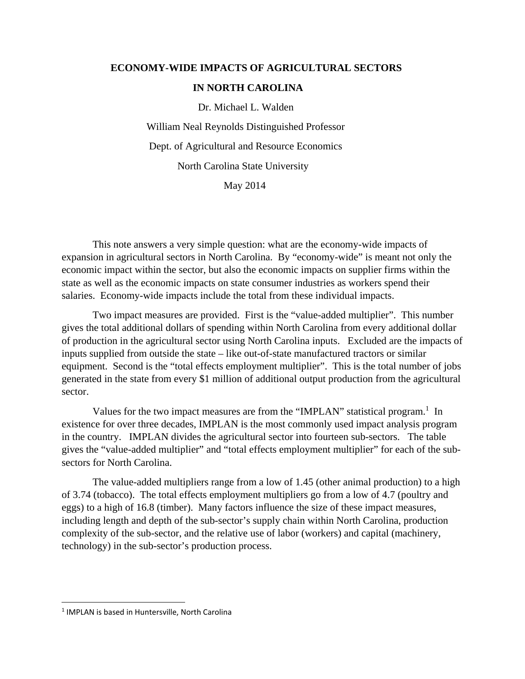## **ECONOMY-WIDE IMPACTS OF AGRICULTURAL SECTORS IN NORTH CAROLINA**

Dr. Michael L. Walden

 William Neal Reynolds Distinguished Professor Dept. of Agricultural and Resource Economics North Carolina State University

May 2014

 This note answers a very simple question: what are the economy-wide impacts of expansion in agricultural sectors in North Carolina. By "economy-wide" is meant not only the economic impact within the sector, but also the economic impacts on supplier firms within the state as well as the economic impacts on state consumer industries as workers spend their salaries. Economy-wide impacts include the total from these individual impacts.

 Two impact measures are provided. First is the "value-added multiplier". This number gives the total additional dollars of spending within North Carolina from every additional dollar of production in the agricultural sector using North Carolina inputs. Excluded are the impacts of inputs supplied from outside the state – like out-of-state manufactured tractors or similar equipment. Second is the "total effects employment multiplier". This is the total number of jobs generated in the state from every \$1 million of additional output production from the agricultural sector.

Values for the two impact measures are from the "IMPLAN" statistical program.<sup>1</sup> In existence for over three decades, IMPLAN is the most commonly used impact analysis program in the country. IMPLAN divides the agricultural sector into fourteen sub-sectors. The table gives the "value-added multiplier" and "total effects employment multiplier" for each of the subsectors for North Carolina.

 The value-added multipliers range from a low of 1.45 (other animal production) to a high of 3.74 (tobacco). The total effects employment multipliers go from a low of 4.7 (poultry and eggs) to a high of 16.8 (timber). Many factors influence the size of these impact measures, including length and depth of the sub-sector's supply chain within North Carolina, production complexity of the sub-sector, and the relative use of labor (workers) and capital (machinery, technology) in the sub-sector's production process.

<sup>&</sup>lt;sup>1</sup> IMPLAN is based in Huntersville, North Carolina